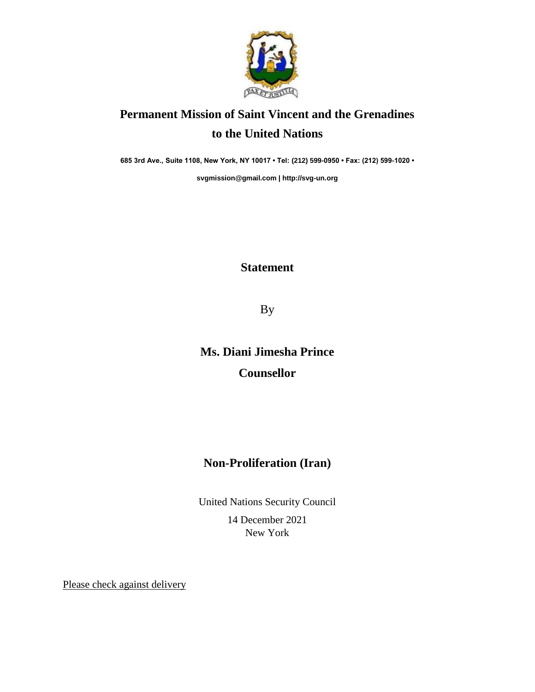

## **Permanent Mission of Saint Vincent and the Grenadines to the United Nations**

**685 3rd Ave., Suite 1108, New York, NY 10017 • Tel: (212) 599-0950 • Fax: (212) 599-1020 •** 

**[svgmission@gmail.com](mailto:svgmission@gmail.com) [| http://svg-un.org](http://svg-un.org/)**

## **Statement**

By

## **Ms. Diani Jimesha Prince Counsellor**

## **Non-Proliferation (Iran)**

United Nations Security Council 14 December 2021 New York

Please check against delivery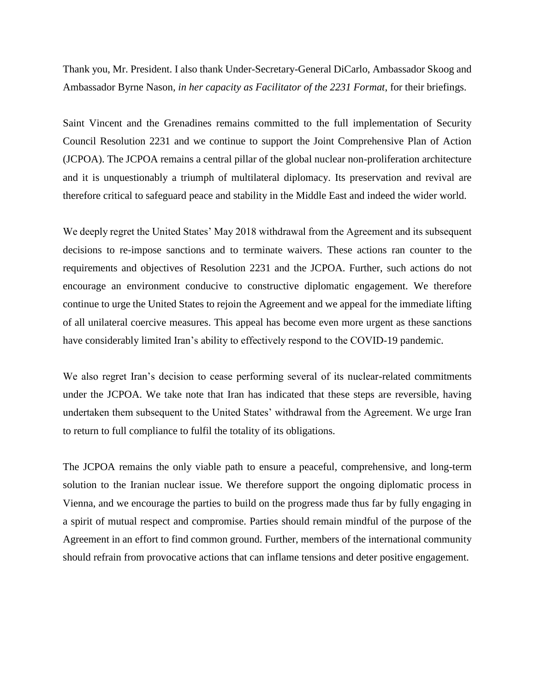Thank you, Mr. President. I also thank Under-Secretary-General DiCarlo, Ambassador Skoog and Ambassador Byrne Nason*, in her capacity as Facilitator of the 2231 Format*, for their briefings.

Saint Vincent and the Grenadines remains committed to the full implementation of Security Council Resolution 2231 and we continue to support the Joint Comprehensive Plan of Action (JCPOA). The JCPOA remains a central pillar of the global nuclear non-proliferation architecture and it is unquestionably a triumph of multilateral diplomacy. Its preservation and revival are therefore critical to safeguard peace and stability in the Middle East and indeed the wider world.

We deeply regret the United States' May 2018 withdrawal from the Agreement and its subsequent decisions to re-impose sanctions and to terminate waivers. These actions ran counter to the requirements and objectives of Resolution 2231 and the JCPOA. Further, such actions do not encourage an environment conducive to constructive diplomatic engagement. We therefore continue to urge the United States to rejoin the Agreement and we appeal for the immediate lifting of all unilateral coercive measures. This appeal has become even more urgent as these sanctions have considerably limited Iran's ability to effectively respond to the COVID-19 pandemic.

We also regret Iran's decision to cease performing several of its nuclear-related commitments under the JCPOA. We take note that Iran has indicated that these steps are reversible, having undertaken them subsequent to the United States' withdrawal from the Agreement. We urge Iran to return to full compliance to fulfil the totality of its obligations.

The JCPOA remains the only viable path to ensure a peaceful, comprehensive, and long-term solution to the Iranian nuclear issue. We therefore support the ongoing diplomatic process in Vienna, and we encourage the parties to build on the progress made thus far by fully engaging in a spirit of mutual respect and compromise. Parties should remain mindful of the purpose of the Agreement in an effort to find common ground. Further, members of the international community should refrain from provocative actions that can inflame tensions and deter positive engagement.